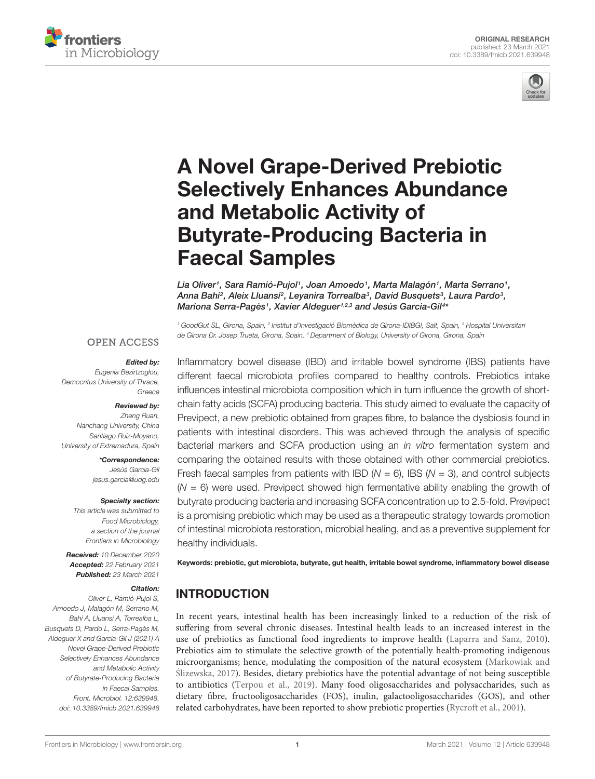



# A Novel Grape-Derived Prebiotic [Selectively Enhances Abundance](https://www.frontiersin.org/articles/10.3389/fmicb.2021.639948/full) and Metabolic Activity of Butyrate-Producing Bacteria in Faecal Samples

Lia Oliver1, Sara Ramió-Pujol1, Joan Amoedo1, Marta Malagón1, Marta Serrano1, Anna Bahí<sup>2</sup>, Aleix Lluansí<sup>2</sup>, Leyanira Torrealba<sup>3</sup>, David Busquets<sup>3</sup>, Laura Pardo<sup>3</sup>, Mariona Serra-Pagès1, Xavier Aldeguer1,2,3 and Jesús Garcia-Gil<sup>4</sup>\*

<sup>1</sup> GoodGut SL, Girona, Spain, <sup>2</sup> Institut d'Investigació Biomèdica de Girona-IDIBGI, Salt, Spain, <sup>3</sup> Hospital Universitan de Girona Dr. Josep Trueta, Girona, Spain, <sup>4</sup> Department of Biology, University of Girona, Girona, Spain

Inflammatory bowel disease (IBD) and irritable bowel syndrome (IBS) patients have different faecal microbiota profiles compared to healthy controls. Prebiotics intake

#### **OPEN ACCESS**

#### Edited by:

Eugenia Bezirtzoglou, Democritus University of Thrace, Greece

#### Reviewed by:

Zheng Ruan, Nanchang University, China Santiago Ruiz-Moyano, University of Extremadura, Spain

> \*Correspondence: Jesús Garcia-Gil jesus.garcia@udg.edu

#### Specialty section:

This article was submitted to Food Microbiology, a section of the journal Frontiers in Microbiology

Received: 10 December 2020 Accepted: 22 February 2021 Published: 23 March 2021

#### Citation:

Oliver L, Ramió-Pujol S, Amoedo J, Malagón M, Serrano M, Bahí A, Lluansí A, Torrealba L, Busquets D, Pardo L, Serra-Pagès M, Aldeguer X and Garcia-Gil J (2021) A Novel Grape-Derived Prebiotic Selectively Enhances Abundance and Metabolic Activity of Butyrate-Producing Bacteria in Faecal Samples. Front. Microbiol. 12:639948. doi: [10.3389/fmicb.2021.639948](https://doi.org/10.3389/fmicb.2021.639948)

influences intestinal microbiota composition which in turn influence the growth of shortchain fatty acids (SCFA) producing bacteria. This study aimed to evaluate the capacity of Previpect, a new prebiotic obtained from grapes fibre, to balance the dysbiosis found in patients with intestinal disorders. This was achieved through the analysis of specific bacterial markers and SCFA production using an in vitro fermentation system and comparing the obtained results with those obtained with other commercial prebiotics. Fresh faecal samples from patients with IBD ( $N = 6$ ), IBS ( $N = 3$ ), and control subjects  $(N = 6)$  were used. Previpect showed high fermentative ability enabling the growth of butyrate producing bacteria and increasing SCFA concentration up to 2.5-fold. Previpect is a promising prebiotic which may be used as a therapeutic strategy towards promotion of intestinal microbiota restoration, microbial healing, and as a preventive supplement for healthy individuals. Keywords: prebiotic, gut microbiota, butyrate, gut health, irritable bowel syndrome, inflammatory bowel disease

# INTRODUCTION

In recent years, intestinal health has been increasingly linked to a reduction of the risk of suffering from several chronic diseases. Intestinal health leads to an increased interest in the use of prebiotics as functional food ingredients to improve health [\(Laparra and Sanz,](#page-8-0) [2010\)](#page-8-0). Prebiotics aim to stimulate the selective growth of the potentially health-promoting indigenous microorganisms; hence, modulating the composition of the natural ecosystem [\(Markowiak and](#page-9-0) Ślizewska, [2017\)](#page-9-0). Besides, dietary prebiotics have the potential advantage of not being susceptible to antibiotics [\(Terpou et al.,](#page-9-1) [2019\)](#page-9-1). Many food oligosaccharides and polysaccharides, such as dietary fibre, fructooligosaccharides (FOS), inulin, galactooligosaccharides (GOS), and other related carbohydrates, have been reported to show prebiotic properties [\(Rycroft et al.,](#page-9-2) [2001\)](#page-9-2).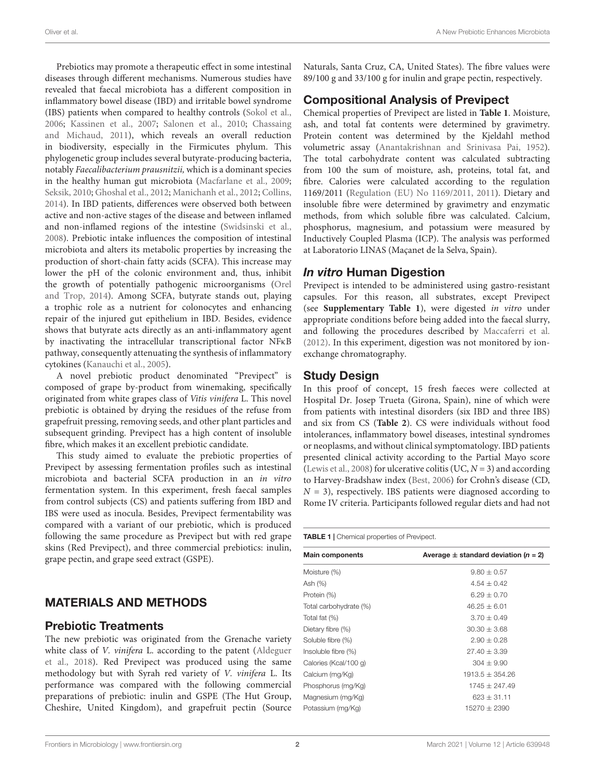Prebiotics may promote a therapeutic effect in some intestinal diseases through different mechanisms. Numerous studies have revealed that faecal microbiota has a different composition in inflammatory bowel disease (IBD) and irritable bowel syndrome (IBS) patients when compared to healthy controls [\(Sokol et al.,](#page-9-3) [2006;](#page-9-3) [Kassinen et al.,](#page-8-1) [2007;](#page-8-1) [Salonen et al.,](#page-9-4) [2010;](#page-9-4) [Chassaing](#page-8-2) [and Michaud,](#page-8-2) [2011\)](#page-8-2), which reveals an overall reduction in biodiversity, especially in the Firmicutes phylum. This phylogenetic group includes several butyrate-producing bacteria, notably Faecalibacterium prausnitzii, which is a dominant species in the healthy human gut microbiota [\(Macfarlane et al.,](#page-9-5) [2009;](#page-9-5) [Seksik,](#page-9-6) [2010;](#page-9-6) [Ghoshal et al.,](#page-8-3) [2012;](#page-8-3) [Manichanh et al.,](#page-9-7) [2012;](#page-9-7) [Collins,](#page-8-4) [2014\)](#page-8-4). In IBD patients, differences were observed both between active and non-active stages of the disease and between inflamed and non-inflamed regions of the intestine [\(Swidsinski et al.,](#page-9-8) [2008\)](#page-9-8). Prebiotic intake influences the composition of intestinal microbiota and alters its metabolic properties by increasing the production of short-chain fatty acids (SCFA). This increase may lower the pH of the colonic environment and, thus, inhibit the growth of potentially pathogenic microorganisms [\(Orel](#page-9-9) [and Trop,](#page-9-9) [2014\)](#page-9-9). Among SCFA, butyrate stands out, playing a trophic role as a nutrient for colonocytes and enhancing repair of the injured gut epithelium in IBD. Besides, evidence shows that butyrate acts directly as an anti-inflammatory agent by inactivating the intracellular transcriptional factor NFκB pathway, consequently attenuating the synthesis of inflammatory cytokines [\(Kanauchi et al.,](#page-8-5) [2005\)](#page-8-5).

A novel prebiotic product denominated "Previpect" is composed of grape by-product from winemaking, specifically originated from white grapes class of Vitis vinifera L. This novel prebiotic is obtained by drying the residues of the refuse from grapefruit pressing, removing seeds, and other plant particles and subsequent grinding. Previpect has a high content of insoluble fibre, which makes it an excellent prebiotic candidate.

This study aimed to evaluate the prebiotic properties of Previpect by assessing fermentation profiles such as intestinal microbiota and bacterial SCFA production in an in vitro fermentation system. In this experiment, fresh faecal samples from control subjects (CS) and patients suffering from IBD and IBS were used as inocula. Besides, Previpect fermentability was compared with a variant of our prebiotic, which is produced following the same procedure as Previpect but with red grape skins (Red Previpect), and three commercial prebiotics: inulin, grape pectin, and grape seed extract (GSPE).

## MATERIALS AND METHODS

#### Prebiotic Treatments

The new prebiotic was originated from the Grenache variety white class of *V. vinifera* L. according to the patent [\(Aldeguer](#page-8-6) [et al.,](#page-8-6) [2018\)](#page-8-6). Red Previpect was produced using the same methodology but with Syrah red variety of V. vinifera L. Its performance was compared with the following commercial preparations of prebiotic: inulin and GSPE (The Hut Group, Cheshire, United Kingdom), and grapefruit pectin (Source Naturals, Santa Cruz, CA, United States). The fibre values were 89/100 g and 33/100 g for inulin and grape pectin, respectively.

## Compositional Analysis of Previpect

Chemical properties of Previpect are listed in **[Table 1](#page-1-0)**. Moisture, ash, and total fat contents were determined by gravimetry. Protein content was determined by the Kjeldahl method volumetric assay [\(Anantakrishnan and Srinivasa Pai,](#page-8-7) [1952\)](#page-8-7). The total carbohydrate content was calculated subtracting from 100 the sum of moisture, ash, proteins, total fat, and fibre. Calories were calculated according to the regulation 1169/2011 [\(Regulation \(EU\) No 1169/2011,](#page-8-8) [2011\)](#page-8-8). Dietary and insoluble fibre were determined by gravimetry and enzymatic methods, from which soluble fibre was calculated. Calcium, phosphorus, magnesium, and potassium were measured by Inductively Coupled Plasma (ICP). The analysis was performed at Laboratorio LINAS (Maçanet de la Selva, Spain).

#### In vitro Human Digestion

Previpect is intended to be administered using gastro-resistant capsules. For this reason, all substrates, except Previpect (see **[Supplementary Table 1](#page-8-9)**), were digested in vitro under appropriate conditions before being added into the faecal slurry, and following the procedures described by [Maccaferri et al.](#page-9-10) [\(2012\)](#page-9-10). In this experiment, digestion was not monitored by ionexchange chromatography.

## Study Design

In this proof of concept, 15 fresh faeces were collected at Hospital Dr. Josep Trueta (Girona, Spain), nine of which were from patients with intestinal disorders (six IBD and three IBS) and six from CS (**[Table 2](#page-2-0)**). CS were individuals without food intolerances, inflammatory bowel diseases, intestinal syndromes or neoplasms, and without clinical symptomatology. IBD patients presented clinical activity according to the Partial Mayo score [\(Lewis et al.,](#page-9-11) [2008\)](#page-9-11) for ulcerative colitis (UC,  $N = 3$ ) and according to Harvey-Bradshaw index [\(Best,](#page-8-10) [2006\)](#page-8-10) for Crohn's disease (CD,  $N = 3$ ), respectively. IBS patients were diagnosed according to Rome IV criteria. Participants followed regular diets and had not

<span id="page-1-0"></span>TABLE 1 | Chemical properties of Previpect.

| <b>Main components</b> | Average $\pm$ standard deviation (n = 2) |
|------------------------|------------------------------------------|
| Moisture (%)           | $9.80 \pm 0.57$                          |
| Ash (%)                | $4.54 \pm 0.42$                          |
| Protein (%)            | $6.29 \pm 0.70$                          |
| Total carbohydrate (%) | $46.25 \pm 6.01$                         |
| Total fat (%)          | $3.70 + 0.49$                            |
| Dietary fibre (%)      | $30.30 \pm 3.68$                         |
| Soluble fibre (%)      | $2.90 + 0.28$                            |
| Insoluble fibre (%)    | $27.40 + 3.39$                           |
| Calories (Kcal/100 q)  | $304 \pm 9.90$                           |
| Calcium (mg/Kg)        | $1913.5 \pm 354.26$                      |
| Phosphorus (mg/Kg)     | $1745 + 247.49$                          |
| Magnesium (mg/Kg)      | $623 \pm 31.11$                          |
| Potassium (mg/Kg)      | $15270 \pm 2390$                         |
|                        |                                          |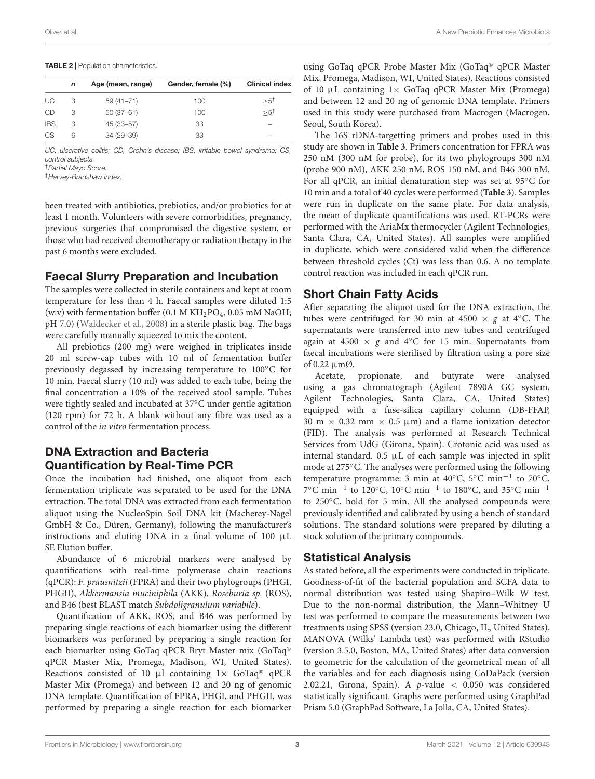#### Oliver et al. A New Prebiotic Enhances Microbiota

#### <span id="page-2-0"></span>TABLE 2 | Population characteristics.

| n | Age (mean, range) | Gender, female (%) | <b>Clinical index</b> |
|---|-------------------|--------------------|-----------------------|
| З | $59(41 - 71)$     | 100                | $>5^{\dagger}$        |
| 3 | $50(37-61)$       | 100                | $>5^{+}$              |
| 3 | 45 (33-57)        | 33                 | -                     |
| 6 | 34 (29-39)        | 33                 | -                     |
|   |                   |                    |                       |

UC, ulcerative colitis; CD, Crohn's disease; IBS, irritable bowel syndrome; CS, control subjects.

‡Harvey-Bradshaw index.

been treated with antibiotics, prebiotics, and/or probiotics for at least 1 month. Volunteers with severe comorbidities, pregnancy, previous surgeries that compromised the digestive system, or those who had received chemotherapy or radiation therapy in the past 6 months were excluded.

## Faecal Slurry Preparation and Incubation

The samples were collected in sterile containers and kept at room temperature for less than 4 h. Faecal samples were diluted 1:5 (w:v) with fermentation buffer (0.1 M  $KH<sub>2</sub>PO<sub>4</sub>$ , 0.05 mM NaOH; pH 7.0) [\(Waldecker et al.,](#page-9-12) [2008\)](#page-9-12) in a sterile plastic bag. The bags were carefully manually squeezed to mix the content.

All prebiotics (200 mg) were weighed in triplicates inside 20 ml screw-cap tubes with 10 ml of fermentation buffer previously degassed by increasing temperature to 100◦C for 10 min. Faecal slurry (10 ml) was added to each tube, being the final concentration a 10% of the received stool sample. Tubes were tightly sealed and incubated at 37◦C under gentle agitation (120 rpm) for 72 h. A blank without any fibre was used as a control of the in vitro fermentation process.

# DNA Extraction and Bacteria Quantification by Real-Time PCR

Once the incubation had finished, one aliquot from each fermentation triplicate was separated to be used for the DNA extraction. The total DNA was extracted from each fermentation aliquot using the NucleoSpin Soil DNA kit (Macherey-Nagel GmbH & Co., Düren, Germany), following the manufacturer's instructions and eluting DNA in a final volume of  $100 \mu L$ SE Elution buffer.

Abundance of 6 microbial markers were analysed by quantifications with real-time polymerase chain reactions (qPCR): F. prausnitzii (FPRA) and their two phylogroups (PHGI, PHGII), Akkermansia muciniphila (AKK), Roseburia sp. (ROS), and B46 (best BLAST match Subdoligranulum variabile).

Quantification of AKK, ROS, and B46 was performed by preparing single reactions of each biomarker using the different biomarkers was performed by preparing a single reaction for each biomarker using GoTaq qPCR Bryt Master mix (GoTaq® qPCR Master Mix, Promega, Madison, WI, United States). Reactions consisted of 10  $\mu$ l containing  $1 \times$  GoTaq® qPCR Master Mix (Promega) and between 12 and 20 ng of genomic DNA template. Quantification of FPRA, PHGI, and PHGII, was performed by preparing a single reaction for each biomarker

using GoTaq qPCR Probe Master Mix (GoTaq® qPCR Master Mix, Promega, Madison, WI, United States). Reactions consisted of 10  $\mu$ L containing 1× GoTaq qPCR Master Mix (Promega) and between 12 and 20 ng of genomic DNA template. Primers used in this study were purchased from Macrogen (Macrogen, Seoul, South Korea).

The 16S rDNA-targetting primers and probes used in this study are shown in **[Table 3](#page-3-0)**. Primers concentration for FPRA was 250 nM (300 nM for probe), for its two phylogroups 300 nM (probe 900 nM), AKK 250 nM, ROS 150 nM, and B46 300 nM. For all qPCR, an initial denaturation step was set at 95◦C for 10 min and a total of 40 cycles were performed (**[Table 3](#page-3-0)**). Samples were run in duplicate on the same plate. For data analysis, the mean of duplicate quantifications was used. RT-PCRs were performed with the AriaMx thermocycler (Agilent Technologies, Santa Clara, CA, United States). All samples were amplified in duplicate, which were considered valid when the difference between threshold cycles (Ct) was less than 0.6. A no template control reaction was included in each qPCR run.

#### Short Chain Fatty Acids

After separating the aliquot used for the DNA extraction, the tubes were centrifuged for 30 min at 4500  $\times$  g at 4°C. The supernatants were transferred into new tubes and centrifuged again at 4500  $\times$  g and 4<sup>°</sup>C for 15 min. Supernatants from faecal incubations were sterilised by filtration using a pore size of 0.22 µmØ.

Acetate, propionate, and butyrate were analysed using a gas chromatograph (Agilent 7890A GC system, Agilent Technologies, Santa Clara, CA, United States) equipped with a fuse-silica capillary column (DB-FFAP, 30 m  $\times$  0.32 mm  $\times$  0.5  $\mu$ m) and a flame ionization detector (FID). The analysis was performed at Research Technical Services from UdG (Girona, Spain). Crotonic acid was used as internal standard.  $0.5 \mu L$  of each sample was injected in split mode at 275◦C. The analyses were performed using the following temperature programme: 3 min at 40◦C, 5◦C min−<sup>1</sup> to 70◦C, 7°C min<sup>-1</sup> to 120°C, 10°C min<sup>-1</sup> to 180°C, and 35°C min<sup>-1</sup> to 250◦C, hold for 5 min. All the analysed compounds were previously identified and calibrated by using a bench of standard solutions. The standard solutions were prepared by diluting a stock solution of the primary compounds.

## Statistical Analysis

As stated before, all the experiments were conducted in triplicate. Goodness-of-fit of the bacterial population and SCFA data to normal distribution was tested using Shapiro–Wilk W test. Due to the non-normal distribution, the Mann–Whitney U test was performed to compare the measurements between two treatments using SPSS (version 23.0, Chicago, IL, United States). MANOVA (Wilks' Lambda test) was performed with RStudio (version 3.5.0, Boston, MA, United States) after data conversion to geometric for the calculation of the geometrical mean of all the variables and for each diagnosis using CoDaPack (version 2.02.21, Girona, Spain). A  $p$ -value < 0.050 was considered statistically significant. Graphs were performed using GraphPad Prism 5.0 (GraphPad Software, La Jolla, CA, United States).

<sup>†</sup>Partial Mayo Score.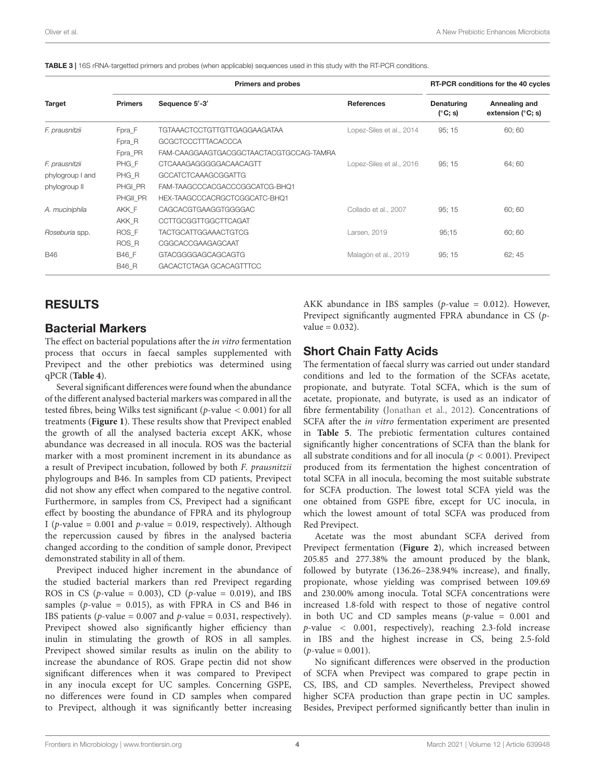|                  |                | <b>Primers and probes</b>               | RT-PCR conditions for the 40 cycles |                                |                                      |
|------------------|----------------|-----------------------------------------|-------------------------------------|--------------------------------|--------------------------------------|
| Target           | <b>Primers</b> | Sequence 5'-3'                          | <b>References</b>                   | Denaturing<br>$(^{\circ}C; s)$ | Annealing and<br>extension $(°C; s)$ |
| F. prausnitzii   | Fpra F         | <b>TGTAAACTCCTGTTGTTGAGGAAGATAA</b>     | Lopez-Siles et al., 2014            | 95:15                          | 60; 60                               |
|                  | Fpra_R         | GCGCTCCCTTTACACCCA                      |                                     |                                |                                      |
|                  | Fpra_PR        | FAM-CAAGGAAGTGACGGCTAACTACGTGCCAG-TAMRA |                                     |                                |                                      |
| F. prausnitzii   | PHG F          | CTCAAAGAGGGGGACAACAGTT                  | Lopez-Siles et al., 2016            | 95:15                          | 64; 60                               |
| phylogroup I and | PHG R          | GCCATCTCAAAGCGGATTG                     |                                     |                                |                                      |
| phylogroup II    | PHGI PR        | FAM-TAAGCCCACGACCCGGCATCG-BHQ1          |                                     |                                |                                      |
|                  | PHGII PR       | HEX-TAAGCCCACRGCTCGGCATC-BHQ1           |                                     |                                |                                      |
| A. muciniphila   | AKK F          | CAGCACGTGAAGGTGGGGAC                    | Collado et al., 2007                | 95:15                          | 60; 60                               |
|                  | AKK R          | CCTTGCGGTTGGCTTCAGAT                    |                                     |                                |                                      |
| Roseburia spp.   | ROS F          | TACTGCATTGGAAACTGTCG                    | Larsen, 2019                        | 95:15                          | 60; 60                               |
|                  | ROS R          | CGGCACCGAAGAGCAAT                       |                                     |                                |                                      |
| <b>B46</b>       | B46 F          | GTACGGGGAGCAGCAGTG                      | Malagón et al., 2019                | 95:15                          | 62; 45                               |
|                  | <b>B46 R</b>   | GACACTCTAGA GCACAGTTTCC                 |                                     |                                |                                      |

<span id="page-3-0"></span>TABLE 3 | 16S rRNA-targetted primers and probes (when applicable) sequences used in this study with the RT-PCR conditions.

#### RESULTS

#### Bacterial Markers

The effect on bacterial populations after the in vitro fermentation process that occurs in faecal samples supplemented with Previpect and the other prebiotics was determined using qPCR (**[Table 4](#page-4-0)**).

Several significant differences were found when the abundance of the different analysed bacterial markers was compared in all the tested fibres, being Wilks test significant (*p*-value  $< 0.001$ ) for all treatments (**[Figure 1](#page-4-1)**). These results show that Previpect enabled the growth of all the analysed bacteria except AKK, whose abundance was decreased in all inocula. ROS was the bacterial marker with a most prominent increment in its abundance as a result of Previpect incubation, followed by both F. prausnitzii phylogroups and B46. In samples from CD patients, Previpect did not show any effect when compared to the negative control. Furthermore, in samples from CS, Previpect had a significant effect by boosting the abundance of FPRA and its phylogroup I (*p*-value = 0.001 and *p*-value = 0.019, respectively). Although the repercussion caused by fibres in the analysed bacteria changed according to the condition of sample donor, Previpect demonstrated stability in all of them.

Previpect induced higher increment in the abundance of the studied bacterial markers than red Previpect regarding ROS in CS ( $p$ -value = 0.003), CD ( $p$ -value = 0.019), and IBS samples ( $p$ -value = 0.015), as with FPRA in CS and B46 in IBS patients ( $p$ -value = 0.007 and  $p$ -value = 0.031, respectively). Previpect showed also significantly higher efficiency than inulin in stimulating the growth of ROS in all samples. Previpect showed similar results as inulin on the ability to increase the abundance of ROS. Grape pectin did not show significant differences when it was compared to Previpect in any inocula except for UC samples. Concerning GSPE, no differences were found in CD samples when compared to Previpect, although it was significantly better increasing

AKK abundance in IBS samples ( $p$ -value = 0.012). However, Previpect significantly augmented FPRA abundance in CS (p $value = 0.032$ ).

#### Short Chain Fatty Acids

The fermentation of faecal slurry was carried out under standard conditions and led to the formation of the SCFAs acetate, propionate, and butyrate. Total SCFA, which is the sum of acetate, propionate, and butyrate, is used as an indicator of fibre fermentability [\(Jonathan et al.,](#page-8-13) [2012\)](#page-8-13). Concentrations of SCFA after the *in vitro* fermentation experiment are presented in **[Table 5](#page-5-0)**. The prebiotic fermentation cultures contained significantly higher concentrations of SCFA than the blank for all substrate conditions and for all inocula ( $p < 0.001$ ). Previpect produced from its fermentation the highest concentration of total SCFA in all inocula, becoming the most suitable substrate for SCFA production. The lowest total SCFA yield was the one obtained from GSPE fibre, except for UC inocula, in which the lowest amount of total SCFA was produced from Red Previpect.

Acetate was the most abundant SCFA derived from Previpect fermentation (**[Figure 2](#page-6-0)**), which increased between 205.85 and 277.38% the amount produced by the blank, followed by butyrate (136.26–238.94% increase), and finally, propionate, whose yielding was comprised between 109.69 and 230.00% among inocula. Total SCFA concentrations were increased 1.8-fold with respect to those of negative control in both UC and CD samples means  $(p$ -value = 0.001 and p-value < 0.001, respectively), reaching 2.3-fold increase in IBS and the highest increase in CS, being 2.5-fold  $(p$ -value = 0.001).

No significant differences were observed in the production of SCFA when Previpect was compared to grape pectin in CS, IBS, and CD samples. Nevertheless, Previpect showed higher SCFA production than grape pectin in UC samples. Besides, Previpect performed significantly better than inulin in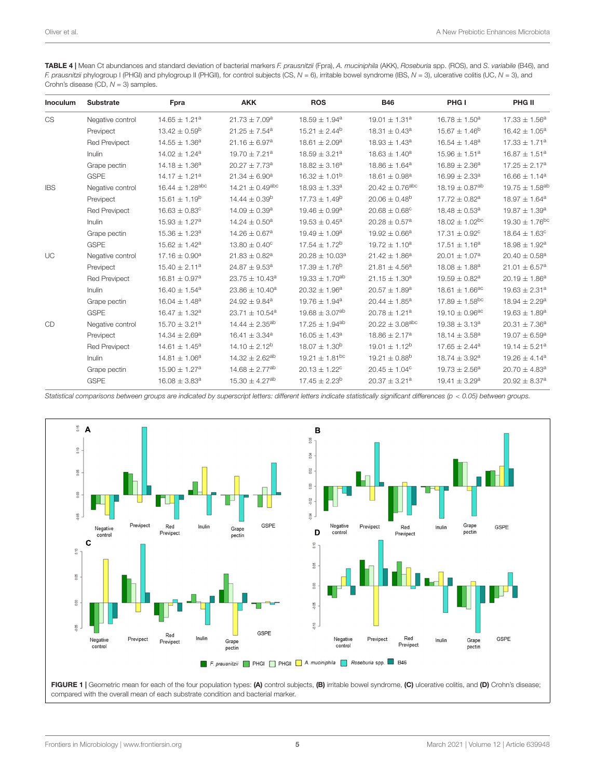<span id="page-4-0"></span>TABLE 4 | Mean Ct abundances and standard deviation of bacterial markers F. prausnitzii (Fpra), A. muciniphila (AKK), Roseburia spp. (ROS), and S. variabile (B46), and F. prausnitzii phylogroup I (PHGI) and phylogroup II (PHGII), for control subjects (CS,  $N = 6$ ), irritable bowel syndrome (IBS,  $N = 3$ ), ulcerative colitis (UC,  $N = 3$ ), and Crohn's disease (CD,  $N = 3$ ) samples.

| Inoculum   | <b>Substrate</b>     | Fpra                            | <b>AKK</b>                      | <b>ROS</b>                    | <b>B46</b>                      | PHG I                          | PHG II                         |
|------------|----------------------|---------------------------------|---------------------------------|-------------------------------|---------------------------------|--------------------------------|--------------------------------|
| <b>CS</b>  | Negative control     | $14.65 \pm 1.21^a$              | $21.73 \pm 7.09^a$              | $18.59 \pm 1.94^a$            | $19.01 \pm 1.31^a$              | $16.78 \pm 1.50^a$             | $17.33 \pm 1.56^a$             |
|            | Previpect            | $13.42 \pm 0.59^b$              | $21.25 \pm 7.54$ <sup>a</sup>   | $15.21 \pm 2.44^b$            | $18.31 \pm 0.43^a$              | $15.67 \pm 1.46^b$             | $16.42 \pm 1.05^a$             |
|            | <b>Red Previpect</b> | $14.55 \pm 1.36^a$              | $21.16 \pm 6.97^a$              | $18.61 \pm 2.09^a$            | $18.93 \pm 1.43^a$              | $16.54 \pm 1.48^a$             | $17.33 \pm 1.71^a$             |
|            | Inulin               | $14.02 \pm 1.24^a$              | 19.70 $\pm$ 7.21 <sup>a</sup>   | $18.59 \pm 3.21^a$            | $18.63 \pm 1.40^a$              | $15.96 \pm 1.51^a$             | $16.87 \pm 1.51^a$             |
|            | Grape pectin         | $14.18 \pm 1.36^a$              | $20.27 \pm 7.73^a$              | $18.82 \pm 3.16^a$            | $18.86 \pm 1.64^a$              | $16.89 \pm 2.36^a$             | $17.25 \pm 2.17^a$             |
|            | <b>GSPE</b>          | $14.17 \pm 1.21^a$              | $21.34 \pm 6.90^a$              | $16.32 \pm 1.01^b$            | $18.61 \pm 0.98^a$              | $16.99 \pm 2.33$ <sup>a</sup>  | $16.66 \pm 1.14^a$             |
| <b>IBS</b> | Negative control     | $16.44 \pm 1.28$ <sup>abc</sup> | $14.21 \pm 0.49$ <sup>abc</sup> | $18.93 \pm 1.33^a$            | $20.42 \pm 0.76$ <sup>abc</sup> | 18.19 $\pm$ 0.87 <sup>ab</sup> | $19.75 \pm 1.58$ <sup>ab</sup> |
|            | Previpect            | $15.61 \pm 1.19^b$              | $14.44 \pm 0.39^b$              | $17.73 \pm 1.49^b$            | $20.06 \pm 0.48^b$              | $17.72 \pm 0.82$ <sup>a</sup>  | $18.97 \pm 1.64^a$             |
|            | <b>Red Previpect</b> | $16.63 \pm 0.83^c$              | $14.09 \pm 0.39$ <sup>a</sup>   | $19.46 \pm 0.99^a$            | $20.68 \pm 0.68^{\circ}$        | $18.48 \pm 0.53$ <sup>a</sup>  | $19.87 \pm 1.39^a$             |
|            | Inulin               | $15.93 \pm 1.27^a$              | $14.24 \pm 0.50^a$              | $19.53 \pm 0.45^a$            | $20.28 \pm 0.57$ <sup>a</sup>   | $18.02 \pm 1.02$ <sup>bc</sup> | $19.30 \pm 1.76$ <sup>bc</sup> |
|            | Grape pectin         | $15.36 \pm 1.23^a$              | $14.26 \pm 0.67$ <sup>a</sup>   | $19.49 \pm 1.09^a$            | $19.92 \pm 0.66^a$              | $17.31 \pm 0.92^c$             | $18.64 \pm 1.63^c$             |
|            | <b>GSPE</b>          | $15.62 \pm 1.42^a$              | $13.80 \pm 0.40^c$              | $17.54 \pm 1.72^b$            | $19.72 \pm 1.10^a$              | $17.51 \pm 1.16^a$             | $18.98 \pm 1.92^a$             |
| UC         | Negative control     | $17.16 \pm 0.90^a$              | $21.83 \pm 0.82$ <sup>a</sup>   | $20.28 \pm 10.03^a$           | $21.42 \pm 1.86^a$              | $20.01 \pm 1.07^a$             | $20.40 \pm 0.58^a$             |
|            | Previpect            | $15.40 \pm 2.11^a$              | 24.87 $\pm$ 9.53 <sup>a</sup>   | $17.39 \pm 1.76^{\circ}$      | $21.81 \pm 4.56^a$              | $18.08 \pm 1.88$ <sup>a</sup>  | $21.01 \pm 6.57$ <sup>a</sup>  |
|            | <b>Red Previpect</b> | $16.81 \pm 0.97$ <sup>a</sup>   | $23.75 \pm 10.43^a$             | $19.33 \pm 1.70^{ab}$         | $21.15 \pm 1.30^a$              | $19.59 \pm 0.82$ <sup>a</sup>  | $20.19 \pm 1.86^a$             |
|            | Inulin               | $16.40 \pm 1.54^a$              | $23.86 \pm 10.40^a$             | $20.32 \pm 1.96^a$            | $20.57 \pm 1.89^a$              | $18.61 \pm 1.66^{\text{ac}}$   | $19.63 \pm 2.31^a$             |
|            | Grape pectin         | $16.04 \pm 1.48^a$              | $24.92 \pm 9.84$ <sup>a</sup>   | $19.76 \pm 1.94^a$            | $20.44 \pm 1.85^a$              | $17.89 \pm 1.58$ <sup>bc</sup> | $18.94 \pm 2.29^a$             |
|            | <b>GSPE</b>          | $16.47 \pm 1.32^a$              | 23.71 $\pm$ 10.54 <sup>a</sup>  | $19.68 \pm 3.07^{ab}$         | $20.78 \pm 1.21^a$              | 19.10 $\pm$ 0.96 <sup>ac</sup> | $19.63 \pm 1.89^a$             |
| CD         | Negative control     | $15.70 \pm 3.21^a$              | 14.44 $\pm$ 2.35 <sup>ab</sup>  | $17.25 \pm 1.94^{ab}$         | $20.22 \pm 3.08$ <sup>abc</sup> | $19.38 \pm 3.13^a$             | $20.31 \pm 7.36^a$             |
|            | Previpect            | $14.34 \pm 2.69^a$              | $16.41 \pm 3.34$ <sup>a</sup>   | $16.05 \pm 1.43^a$            | $18.86 \pm 2.17^a$              | $18.14 \pm 3.58^a$             | $19.07 \pm 6.59^a$             |
|            | <b>Red Previpect</b> | $14.61 \pm 1.45^a$              | $14.10 \pm 2.12^b$              | $18.07 \pm 1.30^b$            | $19.01 \pm 1.12^b$              | $17.65 \pm 2.44$ <sup>a</sup>  | 19.14 $\pm$ 5.21 <sup>a</sup>  |
|            | <b>Inulin</b>        | $14.81 \pm 1.06^a$              | $14.32 \pm 2.62^{ab}$           | $19.21 \pm 1.81^{bc}$         | $19.21 \pm 0.88^{\circ}$        | $18.74 \pm 3.92^a$             | $19.26 \pm 4.14^a$             |
|            | Grape pectin         | $15.90 \pm 1.27^a$              | $14.68 \pm 2.77$ <sup>ab</sup>  | $20.13 \pm 1.22$ <sup>c</sup> | $20.45 \pm 1.04^{\circ}$        | $19.73 \pm 2.56^a$             | $20.70 \pm 4.83$ <sup>a</sup>  |
|            | <b>GSPE</b>          | $16.08 \pm 3.83$ <sup>a</sup>   | $15.30 \pm 4.27$ <sup>ab</sup>  | $17.45 \pm 2.23^b$            | $20.37 \pm 3.21^a$              | $19.41 \pm 3.29^a$             | $20.92 \pm 8.37^a$             |

Statistical comparisons between groups are indicated by superscript letters: different letters indicate statistically significant differences (p < 0.05) between groups.

<span id="page-4-1"></span>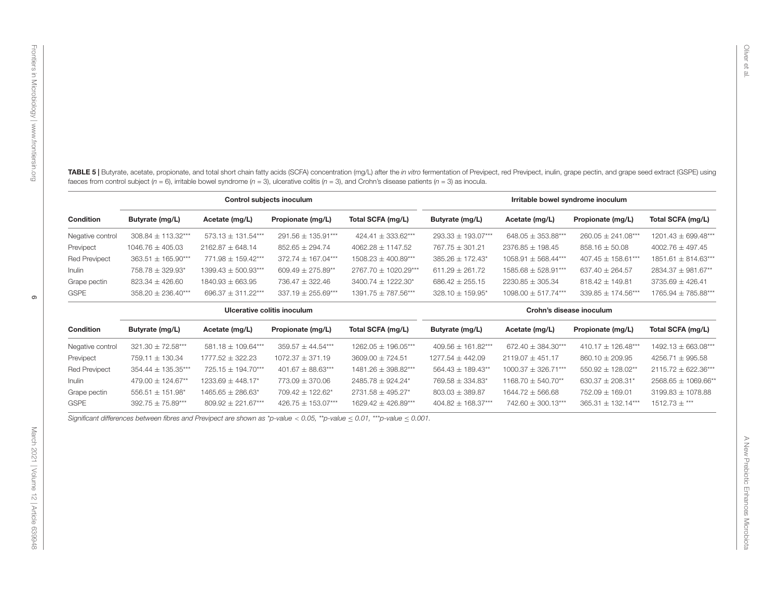| Control subjects inoculum   |                       |                                   |                        |                                                                                                                          |                          |                         |                        |                       |
|-----------------------------|-----------------------|-----------------------------------|------------------------|--------------------------------------------------------------------------------------------------------------------------|--------------------------|-------------------------|------------------------|-----------------------|
| Condition                   | Butyrate (mg/L)       | Acetate (mg/L)                    | Propionate (mg/L)      | Total SCFA (mg/L)                                                                                                        | Butyrate (mg/L)          | Acetate (mg/L)          | Propionate (mg/L)      | Total SCFA (mg/L)     |
| Negative control            | 308.84 ± 113.32***    | 573.13 ± 131.54***                | 291.56 ± 135.91***     | 424.41 ± 333.62***                                                                                                       | 293.33 ± 193.07***       | 648.05 $\pm$ 353.88***  | $260.05 \pm 241.08***$ | 1201.43 ± 699.48***   |
| Previpect                   | $1046.76 \pm 405.03$  | $2162.87 \pm 648.14$              | $852.65 \pm 294.74$    | $4062.28 \pm 1147.52$                                                                                                    | $767.75 \pm 301.21$      | 2376.85 ± 198.45        | $858.16 \pm 50.08$     | $4002.76 \pm 497.45$  |
| <b>Red Previpect</b>        | 363.51 ± 165.90***    | 771.98 ± 159.42***                | 372.74 ± 167.04***     | 1508.23 ± 400.89***                                                                                                      | 385.26 ± 172.43*         | $1058.91 \pm 568.44***$ | 407.45 ± 158.61***     | 1851.61 ± 814.63***   |
| Inulin                      | 758.78 ± 329.93*      | $1399.43 \pm 500.93***$           | 609.49 $\pm$ 275.89**  | 2767.70 ± 1020.29***                                                                                                     | $611.29 \pm 261.72$      | 1585.68 ± 528.91***     | 637.40 $\pm$ 264.57    | 2834.37 ± 981.67**    |
| Grape pectin                | 823.34 ± 426.60       | $1840.93 \pm 663.95$              | 736.47 ± 322.46        | 3400.74 ± 1222.30*                                                                                                       | $686.42 \pm 255.15$      | $2230.85 \pm 305.34$    | $818.42 \pm 149.81$    | $3735.69 \pm 426.41$  |
| <b>GSPE</b>                 | 358.20 ± 236.40***    | 696.37 $\pm$ 311.22***            | 337.19 $\pm$ 255.69*** | $1391.75 \pm 787.56***$                                                                                                  | 328.10 ± 159.95*         | $1098.00 \pm 517.74***$ | 339.85 ± 174.56***     | 1765.94 ± 785.88***   |
| Ulcerative colitis inoculum |                       |                                   |                        |                                                                                                                          | Crohn's disease inoculum |                         |                        |                       |
| Condition                   | Butyrate (mg/L)       | Acetate (mg/L)                    | Propionate (mg/L)      | Total SCFA (mg/L)                                                                                                        | Butyrate (mg/L)          | Acetate (mg/L)          | Propionate (mg/L)      | Total SCFA (mg/L)     |
| Negative control            | 321.30 ± 72.58***     | 581.18 ± 109.64***                | $359.57 \pm 44.54***$  | 1262.05 ± 196.05***                                                                                                      | 409.56 ± 161.82***       | 672.40 $\pm$ 384.30***  | 410.17 ± 126.48***     | 1492.13 ± 663.08***   |
| Previpect                   | 759.11 ± 130.34       | 1777.52 ± 322.23                  | $1072.37 \pm 371.19$   | $3609.00 \pm 724.51$                                                                                                     | $1277.54 \pm 442.09$     | $2119.07 \pm 451.17$    | $860.10 \pm 209.95$    | 4256.71 ± 995.58      |
| <b>Red Previpect</b>        | 354.44 ± 135.35***    | 725.15 ± 194.70***                | 401.67 ± 88.63***      | 1481.26 ± 398.82***                                                                                                      | 564.43 ± 189.43**        | $1000.37 \pm 326.71***$ | 550.92 ± 128.02**      | 2115.72 ± 622.36***   |
| Inulin                      | 479.00 ± 124.67**     | 1233.69 ± 448.17*                 | 773.09 ± 370.06        | 2485.78 ± 924.24*                                                                                                        | 769.58 ± 334.83*         | 1168.70 $\pm$ 540.70**  | 630.37 $\pm$ 208.31*   | 2568.65 ± 1069.66**   |
| Grape pectin                | 556.51 ± 151.98*      | $1465.65 \pm 286.63$ <sup>*</sup> | 709.42 ± 122.62*       | 2731.58 ± 495.27*                                                                                                        | $803.03 \pm 389.87$      | $1644.72 \pm 566.68$    | 752.09 ± 169.01        | $3199.83 \pm 1078.88$ |
| <b>GSPE</b>                 | $392.75 \pm 75.89***$ | $809.92 \pm 221.67***$            | 426.75 ± 153.07***     | $1629.42 \pm 426.89***$                                                                                                  | 404.82 ± 168.37***       | 742.60 ± 300.13***      | 365.31 ± 132.14***     | $1512.73 \pm***$      |
|                             |                       |                                   |                        | Significant differences between fibres and Previpect are shown as *p-value < 0.05, **p-value < 0.01, ***p-value < 0.001. |                          |                         |                        |                       |

<span id="page-5-0"></span>

| <b>Condition</b>     | Butyrate (mg/L)        | Acetate (mg/L)                  | Propionate (mg/L)      | Total SCFA (mg/L)       | Butyrate (mg/L)        | Acetate (mg/L)         | Propionate (mg/L)      | Total SCFA (mg/L)       |
|----------------------|------------------------|---------------------------------|------------------------|-------------------------|------------------------|------------------------|------------------------|-------------------------|
| Negative control     | $321.30 \pm 72.58***$  | 581.18 $\pm$ 109.64***          | $359.57 + 44.54***$    | $1262.05 + 196.05***$   | $409.56 + 161.82***$   | $672.40 + 384.30***$   | $410.17 + 126.48***$   | $1492.13 + 663.08***$   |
| Previpect            | $759.11 + 130.34$      | $1777.52 + 322.23$              | $1072.37 + 371.19$     | $3609.00 + 724.51$      | $1277.54 + 442.09$     | $2119.07 + 451.17$     | $860.10 + 209.95$      | $4256.71 + 995.58$      |
| <b>Red Previpect</b> | $354.44 \pm 135.35***$ | $725.15 + 194.70***$            | $401.67 + 88.63***$    | $1481.26 + 398.82***$   | $564.43 \pm 189.43**$  | $1000.37 + 326.71***$  | $550.92 + 128.02**$    | $2115.72 + 622.36***$   |
| Inulin               | $479.00 + 124.67**$    | $1233.69 + 448.17$ <sup>*</sup> | $773.09 + 370.06$      | $2485.78 + 924.24*$     | 769.58 ± 334.83*       | $1168.70 + 540.70**$   | $630.37 + 208.31*$     | $2568.65 \pm 1069.66**$ |
| Grape pectin         | $556.51 + 151.98*$     | $1465.65 + 286.63*$             | $709.42 + 122.62*$     | $2731.58 + 495.27$ *    | $803.03 + 389.87$      | $1644.72 + 566.68$     | $752.09 + 169.01$      | $3199.83 + 1078.88$     |
| <b>GSPE</b>          | $392.75 \pm 75.89***$  | $809.92 \pm 221.67***$          | 426.75 $\pm$ 153.07*** | $1629.42 \pm 426.89***$ | $404.82 \pm 168.37***$ | $742.60 \pm 300.13***$ | $365.31 \pm 132.14***$ | $1512.73 \pm***$        |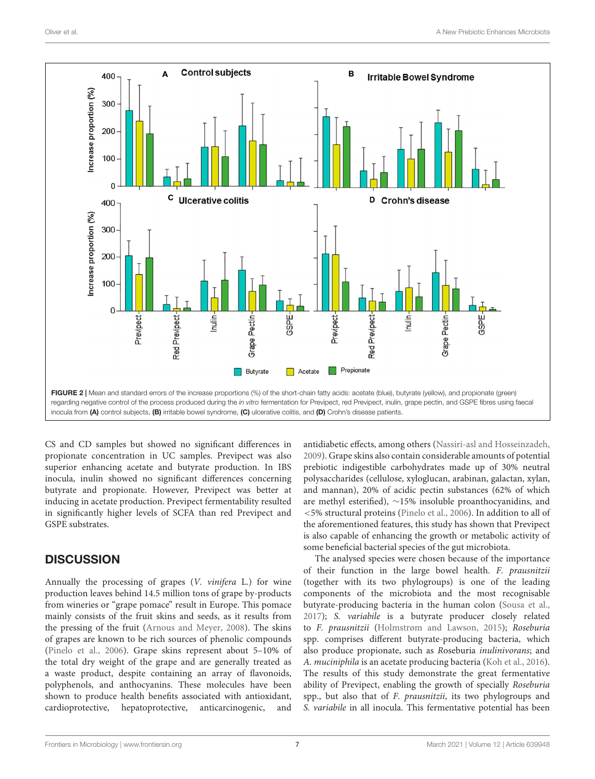

<span id="page-6-0"></span>CS and CD samples but showed no significant differences in propionate concentration in UC samples. Previpect was also superior enhancing acetate and butyrate production. In IBS inocula, inulin showed no significant differences concerning butyrate and propionate. However, Previpect was better at inducing in acetate production. Previpect fermentability resulted in significantly higher levels of SCFA than red Previpect and GSPE substrates.

## **DISCUSSION**

Annually the processing of grapes (V. vinifera L.) for wine production leaves behind 14.5 million tons of grape by-products from wineries or "grape pomace" result in Europe. This pomace mainly consists of the fruit skins and seeds, as it results from the pressing of the fruit [\(Arnous and Meyer,](#page-8-14) [2008\)](#page-8-14). The skins of grapes are known to be rich sources of phenolic compounds [\(Pinelo et al.,](#page-9-16) [2006\)](#page-9-16). Grape skins represent about 5–10% of the total dry weight of the grape and are generally treated as a waste product, despite containing an array of flavonoids, polyphenols, and anthocyanins. These molecules have been shown to produce health benefits associated with antioxidant, cardioprotective, hepatoprotective, anticarcinogenic, and

antidiabetic effects, among others [\(Nassiri-asl and Hosseinzadeh,](#page-9-17) [2009\)](#page-9-17). Grape skins also contain considerable amounts of potential prebiotic indigestible carbohydrates made up of 30% neutral polysaccharides (cellulose, xyloglucan, arabinan, galactan, xylan, and mannan), 20% of acidic pectin substances (62% of which are methyl esterified), ∼15% insoluble proanthocyanidins, and <5% structural proteins [\(Pinelo et al.,](#page-9-16) [2006\)](#page-9-16). In addition to all of the aforementioned features, this study has shown that Previpect is also capable of enhancing the growth or metabolic activity of some beneficial bacterial species of the gut microbiota.

The analysed species were chosen because of the importance of their function in the large bowel health. F. prausnitzii (together with its two phylogroups) is one of the leading components of the microbiota and the most recognisable butyrate-producing bacteria in the human colon [\(Sousa et al.,](#page-9-18) [2017\)](#page-9-18); S. variabile is a butyrate producer closely related to F. prausnitzii [\(Holmstrøm and Lawson,](#page-8-15) [2015\)](#page-8-15); Roseburia spp. comprises different butyrate-producing bacteria, which also produce propionate, such as Roseburia inulinivorans; and A. muciniphila is an acetate producing bacteria [\(Koh et al.,](#page-8-16) [2016\)](#page-8-16). The results of this study demonstrate the great fermentative ability of Previpect, enabling the growth of specially Roseburia spp., but also that of F. prausnitzii, its two phylogroups and S. variabile in all inocula. This fermentative potential has been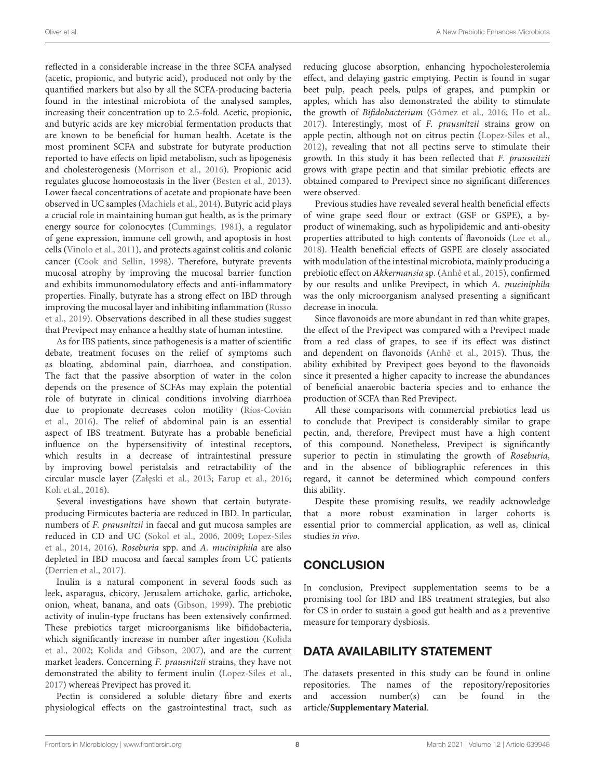reflected in a considerable increase in the three SCFA analysed (acetic, propionic, and butyric acid), produced not only by the quantified markers but also by all the SCFA-producing bacteria found in the intestinal microbiota of the analysed samples, increasing their concentration up to 2.5-fold. Acetic, propionic, and butyric acids are key microbial fermentation products that are known to be beneficial for human health. Acetate is the most prominent SCFA and substrate for butyrate production reported to have effects on lipid metabolism, such as lipogenesis and cholesterogenesis [\(Morrison et al.,](#page-9-19) [2016\)](#page-9-19). Propionic acid regulates glucose homoeostasis in the liver [\(Besten et al.,](#page-8-17) [2013\)](#page-8-17). Lower faecal concentrations of acetate and propionate have been observed in UC samples [\(Machiels et al.,](#page-9-20) [2014\)](#page-9-20). Butyric acid plays a crucial role in maintaining human gut health, as is the primary energy source for colonocytes [\(Cummings,](#page-8-18) [1981\)](#page-8-18), a regulator of gene expression, immune cell growth, and apoptosis in host cells [\(Vinolo et al.,](#page-9-21) [2011\)](#page-9-21), and protects against colitis and colonic cancer [\(Cook and Sellin,](#page-8-19) [1998\)](#page-8-19). Therefore, butyrate prevents mucosal atrophy by improving the mucosal barrier function and exhibits immunomodulatory effects and anti-inflammatory properties. Finally, butyrate has a strong effect on IBD through improving the mucosal layer and inhibiting inflammation [\(Russo](#page-9-22) [et al.,](#page-9-22) [2019\)](#page-9-22). Observations described in all these studies suggest that Previpect may enhance a healthy state of human intestine.

As for IBS patients, since pathogenesis is a matter of scientific debate, treatment focuses on the relief of symptoms such as bloating, abdominal pain, diarrhoea, and constipation. The fact that the passive absorption of water in the colon depends on the presence of SCFAs may explain the potential role of butyrate in clinical conditions involving diarrhoea due to propionate decreases colon motility [\(Ríos-Covián](#page-9-23) [et al.,](#page-9-23) [2016\)](#page-9-23). The relief of abdominal pain is an essential aspect of IBS treatment. Butyrate has a probable beneficial influence on the hypersensitivity of intestinal receptors, which results in a decrease of intraintestinal pressure by improving bowel peristalsis and retractability of the circular muscle layer (Załęski et al., [2013;](#page-9-24) [Farup et al.,](#page-8-20) [2016;](#page-8-20) [Koh et al.,](#page-8-16) [2016\)](#page-8-16).

Several investigations have shown that certain butyrateproducing Firmicutes bacteria are reduced in IBD. In particular, numbers of F. prausnitzii in faecal and gut mucosa samples are reduced in CD and UC [\(Sokol et al.,](#page-9-3) [2006,](#page-9-3) [2009;](#page-9-25) [Lopez-Siles](#page-9-13) [et al.,](#page-9-13) [2014,](#page-9-13) [2016\)](#page-9-14). Roseburia spp. and A. muciniphila are also depleted in IBD mucosa and faecal samples from UC patients [\(Derrien et al.,](#page-8-21) [2017\)](#page-8-21).

Inulin is a natural component in several foods such as leek, asparagus, chicory, Jerusalem artichoke, garlic, artichoke, onion, wheat, banana, and oats [\(Gibson,](#page-8-22) [1999\)](#page-8-22). The prebiotic activity of inulin-type fructans has been extensively confirmed. These prebiotics target microorganisms like bifidobacteria, which significantly increase in number after ingestion [\(Kolida](#page-8-23) [et al.,](#page-8-23) [2002;](#page-8-23) [Kolida and Gibson,](#page-8-24) [2007\)](#page-8-24), and are the current market leaders. Concerning F. prausnitzii strains, they have not demonstrated the ability to ferment inulin [\(Lopez-Siles et al.,](#page-9-26) [2017\)](#page-9-26) whereas Previpect has proved it.

Pectin is considered a soluble dietary fibre and exerts physiological effects on the gastrointestinal tract, such as

reducing glucose absorption, enhancing hypocholesterolemia effect, and delaying gastric emptying. Pectin is found in sugar beet pulp, peach peels, pulps of grapes, and pumpkin or apples, which has also demonstrated the ability to stimulate the growth of Bifidobacterium [\(Gómez et al.,](#page-8-25) [2016;](#page-8-25) [Ho et al.,](#page-8-26) [2017\)](#page-8-26). Interestingly, most of F. prausnitzii strains grow on apple pectin, although not on citrus pectin [\(Lopez-Siles et al.,](#page-9-27) [2012\)](#page-9-27), revealing that not all pectins serve to stimulate their growth. In this study it has been reflected that F. prausnitzii grows with grape pectin and that similar prebiotic effects are obtained compared to Previpect since no significant differences were observed.

Previous studies have revealed several health beneficial effects of wine grape seed flour or extract (GSF or GSPE), a byproduct of winemaking, such as hypolipidemic and anti-obesity properties attributed to high contents of flavonoids [\(Lee et al.,](#page-9-28) [2018\)](#page-9-28). Health beneficial effects of GSPE are closely associated with modulation of the intestinal microbiota, mainly producing a prebiotic effect on Akkermansia sp. [\(Anhê et al.,](#page-8-27) [2015\)](#page-8-27), confirmed by our results and unlike Previpect, in which A. muciniphila was the only microorganism analysed presenting a significant decrease in inocula.

Since flavonoids are more abundant in red than white grapes, the effect of the Previpect was compared with a Previpect made from a red class of grapes, to see if its effect was distinct and dependent on flavonoids [\(Anhê et al.,](#page-8-27) [2015\)](#page-8-27). Thus, the ability exhibited by Previpect goes beyond to the flavonoids since it presented a higher capacity to increase the abundances of beneficial anaerobic bacteria species and to enhance the production of SCFA than Red Previpect.

All these comparisons with commercial prebiotics lead us to conclude that Previpect is considerably similar to grape pectin, and, therefore, Previpect must have a high content of this compound. Nonetheless, Previpect is significantly superior to pectin in stimulating the growth of Roseburia, and in the absence of bibliographic references in this regard, it cannot be determined which compound confers this ability.

Despite these promising results, we readily acknowledge that a more robust examination in larger cohorts is essential prior to commercial application, as well as, clinical studies in vivo.

# **CONCLUSION**

In conclusion, Previpect supplementation seems to be a promising tool for IBD and IBS treatment strategies, but also for CS in order to sustain a good gut health and as a preventive measure for temporary dysbiosis.

# DATA AVAILABILITY STATEMENT

The datasets presented in this study can be found in online repositories. The names of the repository/repositories and accession number(s) can be found in the article/**[Supplementary Material](#page-8-9)**.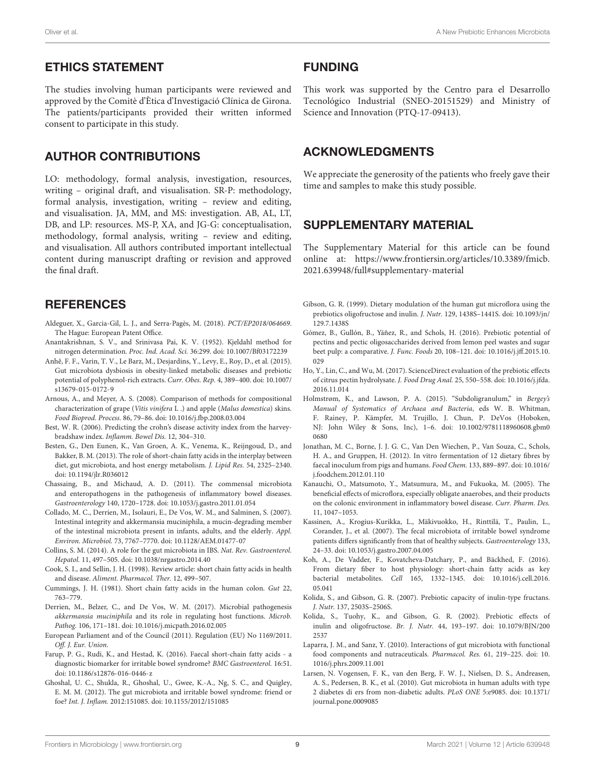#### ETHICS STATEMENT

The studies involving human participants were reviewed and approved by the Comitè d'Ètica d'Investigació Clínica de Girona. The patients/participants provided their written informed consent to participate in this study.

## AUTHOR CONTRIBUTIONS

LO: methodology, formal analysis, investigation, resources, writing – original draft, and visualisation. SR-P: methodology, formal analysis, investigation, writing – review and editing, and visualisation. JA, MM, and MS: investigation. AB, AL, LT, DB, and LP: resources. MS-P, XA, and JG-G: conceptualisation, methodology, formal analysis, writing – review and editing, and visualisation. All authors contributed important intellectual content during manuscript drafting or revision and approved the final draft.

## **REFERENCES**

- <span id="page-8-6"></span>Aldeguer, X., Garcia-Gil, L. J., and Serra-Pagès, M. (2018). PCT/EP2018/064669. The Hague: European Patent Office.
- <span id="page-8-7"></span>Anantakrishnan, S. V., and Srinivasa Pai, K. V. (1952). Kjeldahl method for nitrogen determination. Proc. Ind. Acad. Sci. 36:299. [doi: 10.1007/Bf03172239](https://doi.org/10.1007/Bf03172239)
- <span id="page-8-27"></span>Anhê, F. F., Varin, T. V., Le Barz, M., Desjardins, Y., Levy, E., Roy, D., et al. (2015). Gut microbiota dysbiosis in obesity-linked metabolic diseases and prebiotic potential of polyphenol-rich extracts. Curr. Obes. Rep. 4, 389–400. [doi: 10.1007/](https://doi.org/10.1007/s13679-015-0172-9) [s13679-015-0172-9](https://doi.org/10.1007/s13679-015-0172-9)
- <span id="page-8-14"></span>Arnous, A., and Meyer, A. S. (2008). Comparison of methods for compositional characterization of grape (Vitis vinifera L .) and apple (Malus domestica) skins. Food Bioprod. Process. 86, 79–86. [doi: 10.1016/j.fbp.2008.03.004](https://doi.org/10.1016/j.fbp.2008.03.004)
- <span id="page-8-10"></span>Best, W. R. (2006). Predicting the crohn's disease activity index from the harveybradshaw index. Inflamm. Bowel Dis. 12, 304–310.
- <span id="page-8-17"></span>Besten, G., Den Eunen, K., Van Groen, A. K., Venema, K., Reijngoud, D., and Bakker, B. M. (2013). The role of short-chain fatty acids in the interplay between diet, gut microbiota, and host energy metabolism. J. Lipid Res. 54, 2325–2340. [doi: 10.1194/jlr.R036012](https://doi.org/10.1194/jlr.R036012)
- <span id="page-8-2"></span>Chassaing, B., and Michaud, A. D. (2011). The commensal microbiota and enteropathogens in the pathogenesis of inflammatory bowel diseases. Gastroenterology 140, 1720–1728. [doi: 10.1053/j.gastro.2011.01.054](https://doi.org/10.1053/j.gastro.2011.01.054)
- <span id="page-8-11"></span>Collado, M. C., Derrien, M., Isolauri, E., De Vos, W. M., and Salminen, S. (2007). Intestinal integrity and akkermansia muciniphila, a mucin-degrading member of the intestinal microbiota present in infants, adults, and the elderly. Appl. Environ. Microbiol. 73, 7767–7770. [doi: 10.1128/AEM.01477-07](https://doi.org/10.1128/AEM.01477-07)
- <span id="page-8-4"></span>Collins, S. M. (2014). A role for the gut microbiota in IBS. Nat. Rev. Gastroenterol. Hepatol. 11, 497–505. [doi: 10.1038/nrgastro.2014.40](https://doi.org/10.1038/nrgastro.2014.40)
- <span id="page-8-19"></span>Cook, S. I., and Sellin, J. H. (1998). Review article: short chain fatty acids in health and disease. Aliment. Pharmacol. Ther. 12, 499–507.
- <span id="page-8-18"></span>Cummings, J. H. (1981). Short chain fatty acids in the human colon. Gut 22, 763–779.
- <span id="page-8-21"></span>Derrien, M., Belzer, C., and De Vos, W. M. (2017). Microbial pathogenesis akkermansia muciniphila and its role in regulating host functions. Microb. Pathog. 106, 171–181. [doi: 10.1016/j.micpath.2016.02.005](https://doi.org/10.1016/j.micpath.2016.02.005)
- <span id="page-8-8"></span>European Parliament and of the Council (2011). Regulation (EU) No 1169/2011. Off. J. Eur. Union.
- <span id="page-8-20"></span>Farup, P. G., Rudi, K., and Hestad, K. (2016). Faecal short-chain fatty acids - a diagnostic biomarker for irritable bowel syndrome? BMC Gastroenterol. 16:51. [doi: 10.1186/s12876-016-0446-z](https://doi.org/10.1186/s12876-016-0446-z)
- <span id="page-8-3"></span>Ghoshal, U. C., Shukla, R., Ghoshal, U., Gwee, K.-A., Ng, S. C., and Quigley, E. M. M. (2012). The gut microbiota and irritable bowel syndrome: friend or foe? Int. J. Inflam. 2012:151085. [doi: 10.1155/2012/151085](https://doi.org/10.1155/2012/151085)

#### FUNDING

This work was supported by the Centro para el Desarrollo Tecnológico Industrial (SNEO-20151529) and Ministry of Science and Innovation (PTQ-17-09413).

## ACKNOWLEDGMENTS

We appreciate the generosity of the patients who freely gave their time and samples to make this study possible.

## <span id="page-8-9"></span>SUPPLEMENTARY MATERIAL

The Supplementary Material for this article can be found online at: [https://www.frontiersin.org/articles/10.3389/fmicb.](https://www.frontiersin.org/articles/10.3389/fmicb.2021.639948/full#supplementary-material) [2021.639948/full#supplementary-material](https://www.frontiersin.org/articles/10.3389/fmicb.2021.639948/full#supplementary-material)

- <span id="page-8-22"></span>Gibson, G. R. (1999). Dietary modulation of the human gut microflora using the prebiotics oligofructose and inulin. J. Nutr. 129, 1438S–1441S. [doi: 10.1093/jn/](https://doi.org/10.1093/jn/129.7.1438S) [129.7.1438S](https://doi.org/10.1093/jn/129.7.1438S)
- <span id="page-8-25"></span>Gómez, B., Gullón, B., Yáñez, R., and Schols, H. (2016). Prebiotic potential of pectins and pectic oligosaccharides derived from lemon peel wastes and sugar beet pulp: a comparative. J. Func. Foods 20, 108–121. [doi: 10.1016/j.jff.2015.10.](https://doi.org/10.1016/j.jff.2015.10.029) [029](https://doi.org/10.1016/j.jff.2015.10.029)
- <span id="page-8-26"></span>Ho, Y., Lin, C., and Wu, M. (2017). ScienceDirect evaluation of the prebiotic effects of citrus pectin hydrolysate. J. Food Drug Anal. 25, 550–558. [doi: 10.1016/j.jfda.](https://doi.org/10.1016/j.jfda.2016.11.014) [2016.11.014](https://doi.org/10.1016/j.jfda.2016.11.014)
- <span id="page-8-15"></span>Holmstrøm, K., and Lawson, P. A. (2015). "Subdoligranulum," in Bergey's Manual of Systematics of Archaea and Bacteria, eds W. B. Whitman, F. Rainey, P. Kämpfer, M. Trujillo, J. Chun, P. DeVos (Hoboken, NJ: John Wiley & Sons, Inc), 1–6. [doi: 10.1002/9781118960608.gbm0](https://doi.org/10.1002/9781118960608.gbm00680) [0680](https://doi.org/10.1002/9781118960608.gbm00680)
- <span id="page-8-13"></span>Jonathan, M. C., Borne, J. J. G. C., Van Den Wiechen, P., Van Souza, C., Schols, H. A., and Gruppen, H. (2012). In vitro fermentation of 12 dietary fibres by faecal inoculum from pigs and humans. Food Chem. 133, 889–897. [doi: 10.1016/](https://doi.org/10.1016/j.foodchem.2012.01.110) [j.foodchem.2012.01.110](https://doi.org/10.1016/j.foodchem.2012.01.110)
- <span id="page-8-5"></span>Kanauchi, O., Matsumoto, Y., Matsumura, M., and Fukuoka, M. (2005). The beneficial effects of microflora, especially obligate anaerobes, and their products on the colonic environment in inflammatory bowel disease. Curr. Pharm. Des. 11, 1047–1053.
- <span id="page-8-1"></span>Kassinen, A., Krogius-Kurikka, L., Mäkivuokko, H., Rinttilä, T., Paulin, L., Corander, J., et al. (2007). The fecal microbiota of irritable bowel syndrome patients differs significantly from that of healthy subjects. Gastroenterology 133, 24–33. [doi: 10.1053/j.gastro.2007.04.005](https://doi.org/10.1053/j.gastro.2007.04.005)
- <span id="page-8-16"></span>Koh, A., De Vadder, F., Kovatcheva-Datchary, P., and Bäckhed, F. (2016). From dietary fiber to host physiology: short-chain fatty acids as key bacterial metabolites. Cell 165, 1332–1345. [doi: 10.1016/j.cell.2016.](https://doi.org/10.1016/j.cell.2016.05.041) [05.041](https://doi.org/10.1016/j.cell.2016.05.041)
- <span id="page-8-24"></span>Kolida, S., and Gibson, G. R. (2007). Prebiotic capacity of inulin-type fructans. J. Nutr. 137, 2503S–2506S.
- <span id="page-8-23"></span>Kolida, S., Tuohy, K., and Gibson, G. R. (2002). Prebiotic effects of inulin and oligofructose. Br. J. Nutr. 44, 193–197. [doi: 10.1079/BJN/200](https://doi.org/10.1079/BJN/2002537) [2537](https://doi.org/10.1079/BJN/2002537)
- <span id="page-8-0"></span>Laparra, J. M., and Sanz, Y. (2010). Interactions of gut microbiota with functional food components and nutraceuticals. Pharmacol. Res. 61, 219–225. [doi: 10.](https://doi.org/10.1016/j.phrs.2009.11.001) [1016/j.phrs.2009.11.001](https://doi.org/10.1016/j.phrs.2009.11.001)
- <span id="page-8-12"></span>Larsen, N. Vogensen, F. K., van den Berg, F. W. J., Nielsen, D. S., Andreasen, A. S., Pedersen, B. K., et al. (2010). Gut microbiota in human adults with type 2 diabetes di ers from non-diabetic adults. PLoS ONE 5:e9085. [doi: 10.1371/](https://doi.org/10.1371/journal.pone.0009085) [journal.pone.0009085](https://doi.org/10.1371/journal.pone.0009085)